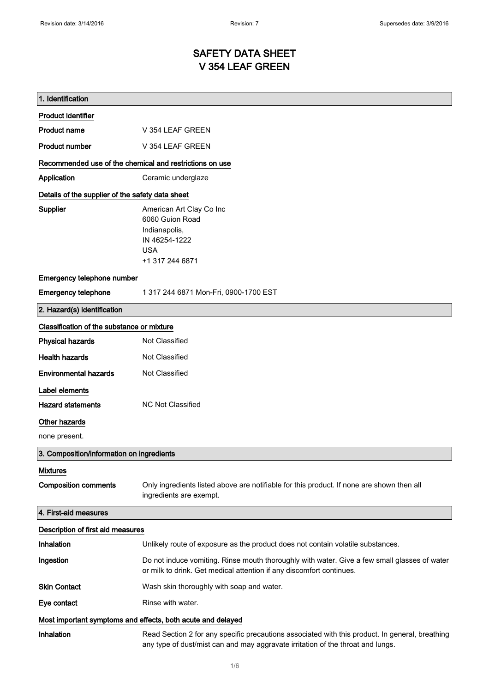# SAFETY DATA SHEET V 354 LEAF GREEN

| 1. Identification                                           |                                                                                                                                                                                    |  |
|-------------------------------------------------------------|------------------------------------------------------------------------------------------------------------------------------------------------------------------------------------|--|
| <b>Product identifier</b>                                   |                                                                                                                                                                                    |  |
| <b>Product name</b>                                         | V 354 LEAF GREEN                                                                                                                                                                   |  |
| <b>Product number</b>                                       | V 354 LEAF GREEN                                                                                                                                                                   |  |
| Recommended use of the chemical and restrictions on use     |                                                                                                                                                                                    |  |
| Application                                                 | Ceramic underglaze                                                                                                                                                                 |  |
| Details of the supplier of the safety data sheet            |                                                                                                                                                                                    |  |
| Supplier                                                    | American Art Clay Co Inc<br>6060 Guion Road<br>Indianapolis,<br>IN 46254-1222<br><b>USA</b><br>+1 317 244 6871                                                                     |  |
| Emergency telephone number                                  |                                                                                                                                                                                    |  |
| <b>Emergency telephone</b>                                  | 1 317 244 6871 Mon-Fri, 0900-1700 EST                                                                                                                                              |  |
| 2. Hazard(s) identification                                 |                                                                                                                                                                                    |  |
| Classification of the substance or mixture                  |                                                                                                                                                                                    |  |
| <b>Physical hazards</b>                                     | Not Classified                                                                                                                                                                     |  |
| <b>Health hazards</b>                                       | Not Classified                                                                                                                                                                     |  |
| <b>Environmental hazards</b>                                | Not Classified                                                                                                                                                                     |  |
| Label elements                                              |                                                                                                                                                                                    |  |
| <b>Hazard statements</b>                                    | <b>NC Not Classified</b>                                                                                                                                                           |  |
| Other hazards                                               |                                                                                                                                                                                    |  |
| none present.                                               |                                                                                                                                                                                    |  |
| 3. Composition/information on ingredients                   |                                                                                                                                                                                    |  |
| <b>Mixtures</b>                                             |                                                                                                                                                                                    |  |
| <b>Composition comments</b>                                 | Only ingredients listed above are notifiable for this product. If none are shown then all<br>ingredients are exempt.                                                               |  |
| 4. First-aid measures                                       |                                                                                                                                                                                    |  |
| Description of first aid measures                           |                                                                                                                                                                                    |  |
| Inhalation                                                  | Unlikely route of exposure as the product does not contain volatile substances.                                                                                                    |  |
| Ingestion                                                   | Do not induce vomiting. Rinse mouth thoroughly with water. Give a few small glasses of water<br>or milk to drink. Get medical attention if any discomfort continues.               |  |
| <b>Skin Contact</b>                                         | Wash skin thoroughly with soap and water.                                                                                                                                          |  |
| Eye contact                                                 | Rinse with water.                                                                                                                                                                  |  |
| Most important symptoms and effects, both acute and delayed |                                                                                                                                                                                    |  |
| Inhalation                                                  | Read Section 2 for any specific precautions associated with this product. In general, breathing<br>any type of dust/mist can and may aggravate irritation of the throat and lungs. |  |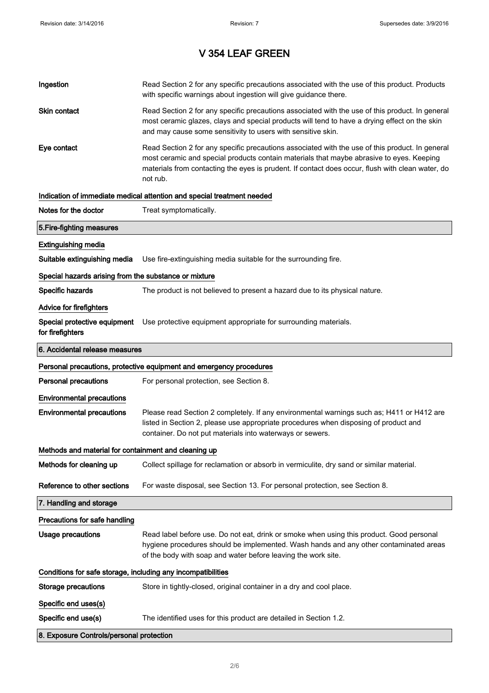| Ingestion                                                    | Read Section 2 for any specific precautions associated with the use of this product. Products<br>with specific warnings about ingestion will give guidance there.                                                                                                                                           |
|--------------------------------------------------------------|-------------------------------------------------------------------------------------------------------------------------------------------------------------------------------------------------------------------------------------------------------------------------------------------------------------|
| Skin contact                                                 | Read Section 2 for any specific precautions associated with the use of this product. In general<br>most ceramic glazes, clays and special products will tend to have a drying effect on the skin<br>and may cause some sensitivity to users with sensitive skin.                                            |
| Eye contact                                                  | Read Section 2 for any specific precautions associated with the use of this product. In general<br>most ceramic and special products contain materials that maybe abrasive to eyes. Keeping<br>materials from contacting the eyes is prudent. If contact does occur, flush with clean water, do<br>not rub. |
|                                                              | Indication of immediate medical attention and special treatment needed                                                                                                                                                                                                                                      |
| Notes for the doctor                                         | Treat symptomatically.                                                                                                                                                                                                                                                                                      |
| 5. Fire-fighting measures                                    |                                                                                                                                                                                                                                                                                                             |
| <b>Extinguishing media</b>                                   |                                                                                                                                                                                                                                                                                                             |
| Suitable extinguishing media                                 | Use fire-extinguishing media suitable for the surrounding fire.                                                                                                                                                                                                                                             |
| Special hazards arising from the substance or mixture        |                                                                                                                                                                                                                                                                                                             |
| Specific hazards                                             | The product is not believed to present a hazard due to its physical nature.                                                                                                                                                                                                                                 |
| <b>Advice for firefighters</b>                               |                                                                                                                                                                                                                                                                                                             |
| Special protective equipment<br>for firefighters             | Use protective equipment appropriate for surrounding materials.                                                                                                                                                                                                                                             |
| 6. Accidental release measures                               |                                                                                                                                                                                                                                                                                                             |
|                                                              | Personal precautions, protective equipment and emergency procedures                                                                                                                                                                                                                                         |
| <b>Personal precautions</b>                                  | For personal protection, see Section 8.                                                                                                                                                                                                                                                                     |
| <b>Environmental precautions</b>                             |                                                                                                                                                                                                                                                                                                             |
|                                                              |                                                                                                                                                                                                                                                                                                             |
| <b>Environmental precautions</b>                             | Please read Section 2 completely. If any environmental warnings such as; H411 or H412 are<br>listed in Section 2, please use appropriate procedures when disposing of product and<br>container. Do not put materials into waterways or sewers.                                                              |
| Methods and material for containment and cleaning up         |                                                                                                                                                                                                                                                                                                             |
| Methods for cleaning up                                      | Collect spillage for reclamation or absorb in vermiculite, dry sand or similar material.                                                                                                                                                                                                                    |
| Reference to other sections                                  | For waste disposal, see Section 13. For personal protection, see Section 8.                                                                                                                                                                                                                                 |
| 7. Handling and storage                                      |                                                                                                                                                                                                                                                                                                             |
| Precautions for safe handling                                |                                                                                                                                                                                                                                                                                                             |
| <b>Usage precautions</b>                                     | Read label before use. Do not eat, drink or smoke when using this product. Good personal<br>hygiene procedures should be implemented. Wash hands and any other contaminated areas<br>of the body with soap and water before leaving the work site.                                                          |
| Conditions for safe storage, including any incompatibilities |                                                                                                                                                                                                                                                                                                             |
| <b>Storage precautions</b>                                   | Store in tightly-closed, original container in a dry and cool place.                                                                                                                                                                                                                                        |
| Specific end uses(s)                                         |                                                                                                                                                                                                                                                                                                             |
| Specific end use(s)                                          | The identified uses for this product are detailed in Section 1.2.                                                                                                                                                                                                                                           |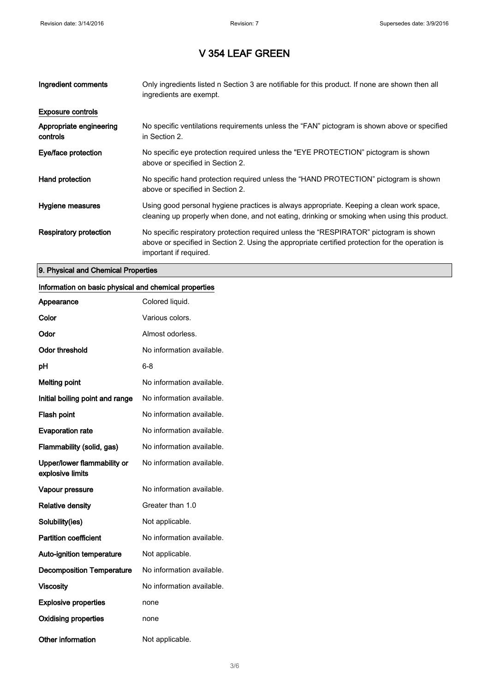| Ingredient comments                 | Only ingredients listed n Section 3 are notifiable for this product. If none are shown then all<br>ingredients are exempt.                                                                                           |
|-------------------------------------|----------------------------------------------------------------------------------------------------------------------------------------------------------------------------------------------------------------------|
| <b>Exposure controls</b>            |                                                                                                                                                                                                                      |
| Appropriate engineering<br>controls | No specific ventilations requirements unless the "FAN" pictogram is shown above or specified<br>in Section 2.                                                                                                        |
| Eye/face protection                 | No specific eye protection required unless the "EYE PROTECTION" pictogram is shown<br>above or specified in Section 2.                                                                                               |
| Hand protection                     | No specific hand protection required unless the "HAND PROTECTION" pictogram is shown<br>above or specified in Section 2.                                                                                             |
| Hygiene measures                    | Using good personal hygiene practices is always appropriate. Keeping a clean work space,<br>cleaning up properly when done, and not eating, drinking or smoking when using this product.                             |
| <b>Respiratory protection</b>       | No specific respiratory protection required unless the "RESPIRATOR" pictogram is shown<br>above or specified in Section 2. Using the appropriate certified protection for the operation is<br>important if required. |

#### 9. Physical and Chemical Properties

### Information on basic physical and chemical properties

| Appearance                                      | Colored liquid.           |
|-------------------------------------------------|---------------------------|
| Color                                           | Various colors.           |
| Odor                                            | Almost odorless.          |
| <b>Odor threshold</b>                           | No information available. |
| рH                                              | 6-8                       |
| <b>Melting point</b>                            | No information available. |
| Initial boiling point and range                 | No information available. |
| Flash point                                     | No information available. |
| <b>Evaporation rate</b>                         | No information available. |
| Flammability (solid, gas)                       | No information available. |
| Upper/lower flammability or<br>explosive limits | No information available. |
| Vapour pressure                                 | No information available. |
| <b>Relative density</b>                         | Greater than 1.0          |
| Solubility(ies)                                 | Not applicable.           |
| <b>Partition coefficient</b>                    | No information available. |
| <b>Auto-ignition temperature</b>                | Not applicable.           |
| <b>Decomposition Temperature</b>                | No information available. |
| <b>Viscosity</b>                                | No information available. |
| <b>Explosive properties</b>                     | none                      |
| <b>Oxidising properties</b>                     | none                      |
| <b>Other information</b>                        | Not applicable.           |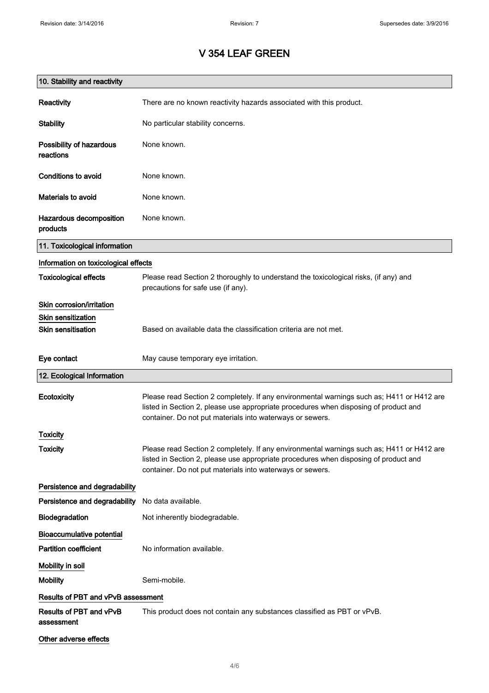| 10. Stability and reactivity          |                                                                                                                                                                                                                                                |
|---------------------------------------|------------------------------------------------------------------------------------------------------------------------------------------------------------------------------------------------------------------------------------------------|
| Reactivity                            | There are no known reactivity hazards associated with this product.                                                                                                                                                                            |
| <b>Stability</b>                      | No particular stability concerns.                                                                                                                                                                                                              |
| Possibility of hazardous<br>reactions | None known.                                                                                                                                                                                                                                    |
| <b>Conditions to avoid</b>            | None known.                                                                                                                                                                                                                                    |
| <b>Materials to avoid</b>             | None known.                                                                                                                                                                                                                                    |
| Hazardous decomposition<br>products   | None known.                                                                                                                                                                                                                                    |
| 11. Toxicological information         |                                                                                                                                                                                                                                                |
| Information on toxicological effects  |                                                                                                                                                                                                                                                |
| <b>Toxicological effects</b>          | Please read Section 2 thoroughly to understand the toxicological risks, (if any) and<br>precautions for safe use (if any).                                                                                                                     |
| Skin corrosion/irritation             |                                                                                                                                                                                                                                                |
| <b>Skin sensitization</b>             |                                                                                                                                                                                                                                                |
| <b>Skin sensitisation</b>             | Based on available data the classification criteria are not met.                                                                                                                                                                               |
| Eye contact                           | May cause temporary eye irritation.                                                                                                                                                                                                            |
| 12. Ecological Information            |                                                                                                                                                                                                                                                |
| Ecotoxicity                           | Please read Section 2 completely. If any environmental warnings such as; H411 or H412 are<br>listed in Section 2, please use appropriate procedures when disposing of product and<br>container. Do not put materials into waterways or sewers. |
| Toxicity                              |                                                                                                                                                                                                                                                |
| <b>Toxicity</b>                       | Please read Section 2 completely. If any environmental warnings such as; H411 or H412 are<br>listed in Section 2, please use appropriate procedures when disposing of product and<br>container. Do not put materials into waterways or sewers. |
| Persistence and degradability         |                                                                                                                                                                                                                                                |
| Persistence and degradability         | No data available.                                                                                                                                                                                                                             |
| Biodegradation                        | Not inherently biodegradable.                                                                                                                                                                                                                  |
| <b>Bioaccumulative potential</b>      |                                                                                                                                                                                                                                                |
| <b>Partition coefficient</b>          | No information available.                                                                                                                                                                                                                      |
| Mobility in soil                      |                                                                                                                                                                                                                                                |
| <b>Mobility</b>                       | Semi-mobile.                                                                                                                                                                                                                                   |
| Results of PBT and vPvB assessment    |                                                                                                                                                                                                                                                |
| Results of PBT and vPvB<br>assessment | This product does not contain any substances classified as PBT or vPvB.                                                                                                                                                                        |
| Other adverse effects                 |                                                                                                                                                                                                                                                |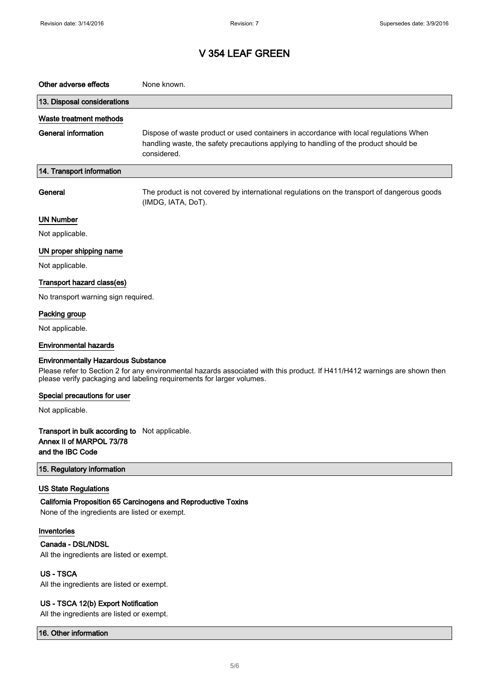| Other adverse effects                                                                                                                                                                                                                             | None known.                                                                                                                                                                                  |  |
|---------------------------------------------------------------------------------------------------------------------------------------------------------------------------------------------------------------------------------------------------|----------------------------------------------------------------------------------------------------------------------------------------------------------------------------------------------|--|
| 13. Disposal considerations                                                                                                                                                                                                                       |                                                                                                                                                                                              |  |
| Waste treatment methods                                                                                                                                                                                                                           |                                                                                                                                                                                              |  |
| <b>General information</b>                                                                                                                                                                                                                        | Dispose of waste product or used containers in accordance with local regulations When<br>handling waste, the safety precautions applying to handling of the product should be<br>considered. |  |
| 14. Transport information                                                                                                                                                                                                                         |                                                                                                                                                                                              |  |
| General                                                                                                                                                                                                                                           | The product is not covered by international regulations on the transport of dangerous goods<br>(IMDG, IATA, DoT).                                                                            |  |
| <b>UN Number</b>                                                                                                                                                                                                                                  |                                                                                                                                                                                              |  |
| Not applicable.                                                                                                                                                                                                                                   |                                                                                                                                                                                              |  |
| UN proper shipping name                                                                                                                                                                                                                           |                                                                                                                                                                                              |  |
| Not applicable.                                                                                                                                                                                                                                   |                                                                                                                                                                                              |  |
| Transport hazard class(es)                                                                                                                                                                                                                        |                                                                                                                                                                                              |  |
| No transport warning sign required.                                                                                                                                                                                                               |                                                                                                                                                                                              |  |
| Packing group                                                                                                                                                                                                                                     |                                                                                                                                                                                              |  |
| Not applicable.                                                                                                                                                                                                                                   |                                                                                                                                                                                              |  |
| <b>Environmental hazards</b>                                                                                                                                                                                                                      |                                                                                                                                                                                              |  |
| <b>Environmentally Hazardous Substance</b><br>Please refer to Section 2 for any environmental hazards associated with this product. If H411/H412 warnings are shown then<br>please verify packaging and labeling requirements for larger volumes. |                                                                                                                                                                                              |  |
| Special precautions for user                                                                                                                                                                                                                      |                                                                                                                                                                                              |  |
| Not applicable.                                                                                                                                                                                                                                   |                                                                                                                                                                                              |  |
| Transport in bulk according to Not applicable.<br>Annex II of MARPOL 73/78<br>and the IBC Code                                                                                                                                                    |                                                                                                                                                                                              |  |
| 15. Regulatory information                                                                                                                                                                                                                        |                                                                                                                                                                                              |  |
| <b>US State Regulations</b><br>None of the ingredients are listed or exempt.                                                                                                                                                                      | California Proposition 65 Carcinogens and Reproductive Toxins                                                                                                                                |  |
| Inventories                                                                                                                                                                                                                                       |                                                                                                                                                                                              |  |
| Canada - DSL/NDSL<br>All the ingredients are listed or exempt.                                                                                                                                                                                    |                                                                                                                                                                                              |  |
| <b>US-TSCA</b><br>All the ingredients are listed or exempt.                                                                                                                                                                                       |                                                                                                                                                                                              |  |
| US - TSCA 12(b) Export Notification<br>All the ingredients are listed or exempt.                                                                                                                                                                  |                                                                                                                                                                                              |  |

16. Other information